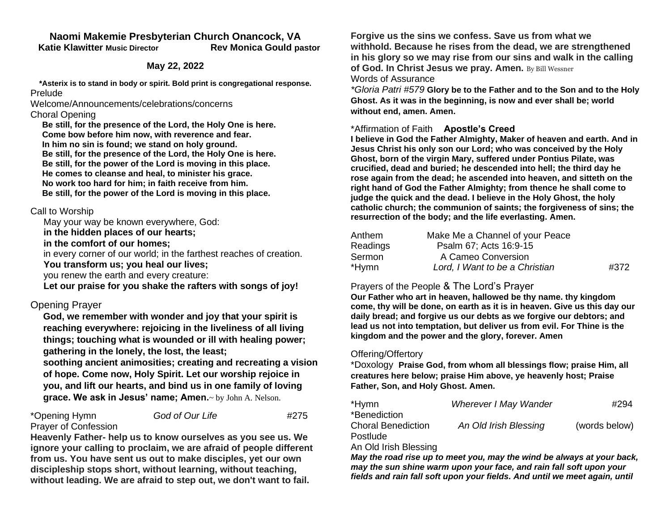## **Naomi Makemie Presbyterian Church Onancock, VA Katie Klawitter Music Director Rev Monica Gould pastor**

## **May 22, 2022**

**\*Asterix is to stand in body or spirit. Bold print is congregational response.** Prelude

Welcome/Announcements/celebrations/concerns Choral Opening

 **Be still, for the presence of the Lord, the Holy One is here. Come bow before him now, with reverence and fear. In him no sin is found; we stand on holy ground. Be still, for the presence of the Lord, the Holy One is here. Be still, for the power of the Lord is moving in this place. He comes to cleanse and heal, to minister his grace. No work too hard for him; in faith receive from him. Be still, for the power of the Lord is moving in this place.**

#### Call to Worship

May your way be known everywhere, God:

 **in the hidden places of our hearts;**

#### **in the comfort of our homes;**

 in every corner of our world; in the farthest reaches of creation.  **You transform us; you heal our lives;**

you renew the earth and every creature:

 **Let our praise for you shake the rafters with songs of joy!**

# Opening Prayer

**God, we remember with wonder and joy that your spirit is reaching everywhere: rejoicing in the liveliness of all living things; touching what is wounded or ill with healing power; gathering in the lonely, the lost, the least;**

**soothing ancient animosities; creating and recreating a vision of hope. Come now, Holy Spirit. Let our worship rejoice in you, and lift our hearts, and bind us in one family of loving grace. We ask in Jesus' name; Amen.**~ by John A. Nelson.

# \*Opening Hymn *God of Our Life* #275

# Prayer of Confession

**Heavenly Father- help us to know ourselves as you see us. We ignore your calling to proclaim, we are afraid of people different from us. You have sent us out to make disciples, yet our own discipleship stops short, without learning, without teaching, without leading. We are afraid to step out, we don't want to fail.**

**Forgive us the sins we confess. Save us from what we withhold. Because he rises from the dead, we are strengthened in his glory so we may rise from our sins and walk in the calling of God. In Christ Jesus we pray. Amen.** By Bill Wessner Words of Assurance

*\*Gloria Patri #579* **Glory be to the Father and to the Son and to the Holy Ghost. As it was in the beginning, is now and ever shall be; world without end, amen. Amen.** 

### \*Affirmation of Faith **Apostle's Creed**

**I believe in God the Father Almighty, Maker of heaven and earth. And in Jesus Christ his only son our Lord; who was conceived by the Holy Ghost, born of the virgin Mary, suffered under Pontius Pilate, was crucified, dead and buried; he descended into hell; the third day he rose again from the dead; he ascended into heaven, and sitteth on the right hand of God the Father Almighty; from thence he shall come to judge the quick and the dead. I believe in the Holy Ghost, the holy catholic church; the communion of saints; the forgiveness of sins; the resurrection of the body; and the life everlasting. Amen.**

| Anthem   | Make Me a Channel of your Peace |      |
|----------|---------------------------------|------|
| Readings | Psalm 67; Acts 16:9-15          |      |
| Sermon   | A Cameo Conversion              |      |
| *Hymn    | Lord, I Want to be a Christian  | #372 |

## Prayers of the People & The Lord's Prayer

**Our Father who art in heaven, hallowed be thy name. thy kingdom come, thy will be done, on earth as it is in heaven. Give us this day our daily bread; and forgive us our debts as we forgive our debtors; and lead us not into temptation, but deliver us from evil. For Thine is the kingdom and the power and the glory, forever. Amen**

#### Offering/Offertory

\*Doxology **Praise God, from whom all blessings flow; praise Him, all creatures here below; praise Him above, ye heavenly host; Praise Father, Son, and Holy Ghost. Amen.** 

| *Hymn                     | <b>Wherever I May Wander</b> | #294          |
|---------------------------|------------------------------|---------------|
| *Benediction              |                              |               |
| <b>Choral Benediction</b> | An Old Irish Blessing        | (words below) |
| Postlude                  |                              |               |

#### An Old Irish Blessing

*May the road rise up to meet you, may the wind be always at your back, may the sun shine warm upon your face, and rain fall soft upon your fields and rain fall soft upon your fields. And until we meet again, until*